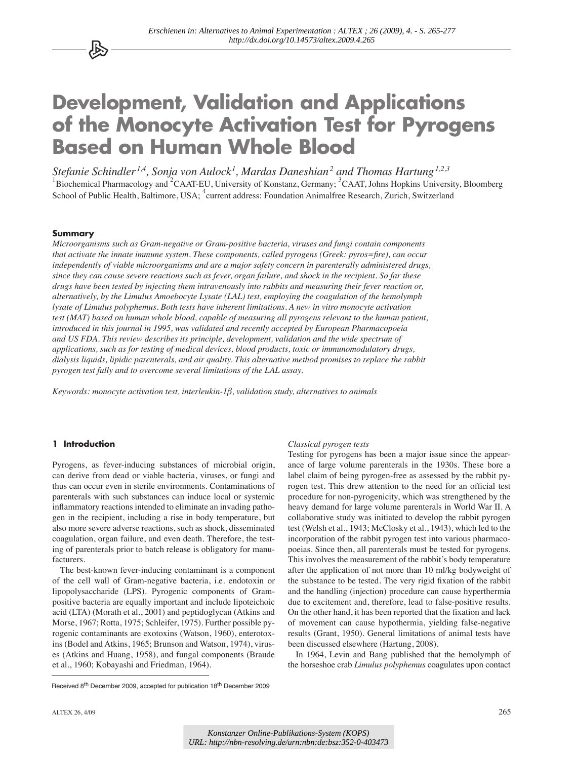# **Development, Validation and Applications of the Monocyte Activation Test for Pyrogens Based on Human Whole Blood**

*Stefanie Schindler 1,4, Sonja von Aulock1 , Mardas Daneshian<sup>2</sup> and Thomas Hartung1,2,3* <sup>1</sup>Biochemical Pharmacology and <sup>2</sup>CAAT-EU, University of Konstanz, Germany; <sup>3</sup>CAAT, Johns Hopkins University, Bloomberg School of Public Health, Baltimore, USA; <sup>4</sup>current address: Foundation Animalfree Research, Zurich, Switzerland

#### **Summary**

公

*Microorganisms such as Gram-negative or Gram-positive bacteria, viruses and fungi contain components that activate the innate immune system. These components, called pyrogens (Greek: pyros=fire), can occur independently of viable microorganisms and are a major safety concern in parenterally administered drugs, since they can cause severe reactions such as fever, organ failure, and shock in the recipient. So far these drugs have been tested by injecting them intravenously into rabbits and measuring their fever reaction or, alternatively, by the Limulus Amoebocyte Lysate (LAL) test, employing the coagulation of the hemolymph lysate of Limulus polyphemus. Both tests have inherent limitations. A new in vitro monocyte activation test (MAT) based on human whole blood, capable of measuring all pyrogens relevant to the human patient, introduced in this journal in 1995, was validated and recently accepted by European Pharmacopoeia and US FDA. This review describes its principle, development, validation and the wide spectrum of applications, such as for testing of medical devices, blood products, toxic or immunomodulatory drugs, dialysis liquids, lipidic parenterals, and air quality. This alternative method promises to replace the rabbit pyrogen test fully and to overcome several limitations of the LAL assay.*

*Keywords: monocyte activation test, interleukin-1β, validation study, alternatives to animals*

#### **1 Introduction**

Pyrogens, as fever-inducing substances of microbial origin, can derive from dead or viable bacteria, viruses, or fungi and thus can occur even in sterile environments. Contaminations of parenterals with such substances can induce local or systemic inflammatory reactions intended to eliminate an invading pathogen in the recipient, including a rise in body temperature, but also more severe adverse reactions, such as shock, disseminated coagulation, organ failure, and even death. Therefore, the testing of parenterals prior to batch release is obligatory for manufacturers.

The best-known fever-inducing contaminant is a component of the cell wall of Gram-negative bacteria, i.e. endotoxin or lipopolysaccharide (LPS). Pyrogenic components of Grampositive bacteria are equally important and include lipoteichoic acid (LTA) (Morath et al., 2001) and peptidoglycan (Atkins and Morse, 1967; Rotta, 1975; Schleifer, 1975). Further possible pyrogenic contaminants are exotoxins (Watson, 1960), enterotoxins (Bodel and Atkins, 1965; Brunson and Watson, 1974), viruses (Atkins and Huang, 1958), and fungal components (Braude et al., 1960; Kobayashi and Friedman, 1964).

#### *Classical pyrogen tests*

Testing for pyrogens has been a major issue since the appearance of large volume parenterals in the 1930s. These bore a label claim of being pyrogen-free as assessed by the rabbit pyrogen test. This drew attention to the need for an official test procedure for non-pyrogenicity, which was strengthened by the heavy demand for large volume parenterals in World War II. A collaborative study was initiated to develop the rabbit pyrogen test (Welsh et al., 1943; McClosky et al., 1943), which led to the incorporation of the rabbit pyrogen test into various pharmacopoeias. Since then, all parenterals must be tested for pyrogens. This involves the measurement of the rabbit's body temperature after the application of not more than 10 ml/kg bodyweight of the substance to be tested. The very rigid fixation of the rabbit and the handling (injection) procedure can cause hyperthermia due to excitement and, therefore, lead to false-positive results. On the other hand, it has been reported that the fixation and lack of movement can cause hypothermia, yielding false-negative results (Grant, 1950). General limitations of animal tests have been discussed elsewhere (Hartung, 2008).

In 1964, Levin and Bang published that the hemolymph of the horseshoe crab *Limulus polyphemus* coagulates upon contact

Received 8th December 2009, accepted for publication 18th December 2009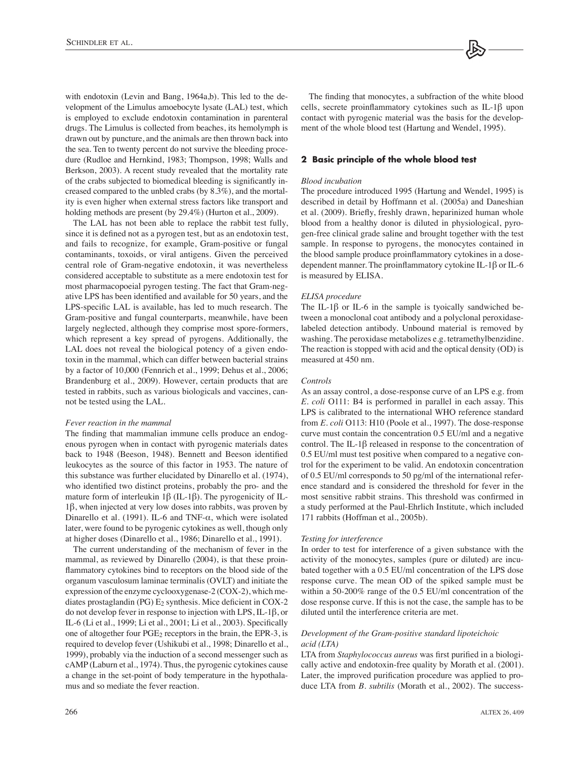with endotoxin (Levin and Bang, 1964a,b). This led to the development of the Limulus amoebocyte lysate (LAL) test, which is employed to exclude endotoxin contamination in parenteral drugs. The Limulus is collected from beaches, its hemolymph is drawn out by puncture, and the animals are then thrown back into the sea. Ten to twenty percent do not survive the bleeding procedure (Rudloe and Hernkind, 1983; Thompson, 1998; Walls and Berkson, 2003). A recent study revealed that the mortality rate of the crabs subjected to biomedical bleeding is significantly increased compared to the unbled crabs (by 8.3%), and the mortality is even higher when external stress factors like transport and holding methods are present (by 29.4%) (Hurton et al., 2009).

The LAL has not been able to replace the rabbit test fully, since it is defined not as a pyrogen test, but as an endotoxin test, and fails to recognize, for example, Gram-positive or fungal contaminants, toxoids, or viral antigens. Given the perceived central role of Gram-negative endotoxin, it was nevertheless considered acceptable to substitute as a mere endotoxin test for most pharmacopoeial pyrogen testing. The fact that Gram-negative LPS has been identified and available for 50 years, and the LPS-specific LAL is available, has led to much research. The Gram-positive and fungal counterparts, meanwhile, have been largely neglected, although they comprise most spore-formers, which represent a key spread of pyrogens. Additionally, the LAL does not reveal the biological potency of a given endotoxin in the mammal, which can differ between bacterial strains by a factor of 10,000 (Fennrich et al., 1999; Dehus et al., 2006; Brandenburg et al., 2009). However, certain products that are tested in rabbits, such as various biologicals and vaccines, cannot be tested using the LAL.

#### *Fever reaction in the mammal*

The finding that mammalian immune cells produce an endogenous pyrogen when in contact with pyrogenic materials dates back to 1948 (Beeson, 1948). Bennett and Beeson identified leukocytes as the source of this factor in 1953. The nature of this substance was further elucidated by Dinarello et al. (1974), who identified two distinct proteins, probably the pro- and the mature form of interleukin  $1\beta$  (IL-1 $\beta$ ). The pyrogenicity of IL-1β, when injected at very low doses into rabbits, was proven by Dinarello et al. (1991). IL-6 and TNF- $\alpha$ , which were isolated later, were found to be pyrogenic cytokines as well, though only at higher doses (Dinarello et al., 1986; Dinarello et al., 1991).

The current understanding of the mechanism of fever in the mammal, as reviewed by Dinarello (2004), is that these proinflammatory cytokines bind to receptors on the blood side of the organum vasculosum laminae terminalis (OVLT) and initiate the expression of the enzyme cyclooxygenase-2 (COX-2), which mediates prostaglandin (PG)  $E_2$  synthesis. Mice deficient in COX-2 do not develop fever in response to injection with LPS, IL-1β, or IL-6 (Li et al., 1999; Li et al., 2001; Li et al., 2003). Specifically one of altogether four  $PGE_2$  receptors in the brain, the EPR-3, is required to develop fever (Ushikubi et al., 1998; Dinarello et al., 1999), probably via the induction of a second messenger such as cAMP (Laburn et al., 1974). Thus, the pyrogenic cytokines cause a change in the set-point of body temperature in the hypothalamus and so mediate the fever reaction.

The finding that monocytes, a subfraction of the white blood cells, secrete proinflammatory cytokines such as IL-1β upon contact with pyrogenic material was the basis for the development of the whole blood test (Hartung and Wendel, 1995).

#### **2 Basic principle of the whole blood test**

#### *Blood incubation*

The procedure introduced 1995 (Hartung and Wendel, 1995) is described in detail by Hoffmann et al. (2005a) and Daneshian et al. (2009). Briefly, freshly drawn, heparinized human whole blood from a healthy donor is diluted in physiological, pyrogen-free clinical grade saline and brought together with the test sample. In response to pyrogens, the monocytes contained in the blood sample produce proinflammatory cytokines in a dosedependent manner. The proinflammatory cytokine IL-1β or IL-6 is measured by ELISA.

#### *ELISA procedure*

The IL-1β or IL-6 in the sample is tyoically sandwiched between a monoclonal coat antibody and a polyclonal peroxidaselabeled detection antibody. Unbound material is removed by washing. The peroxidase metabolizes e.g. tetramethylbenzidine. The reaction is stopped with acid and the optical density (OD) is measured at 450 nm.

#### *Controls*

As an assay control, a dose-response curve of an LPS e.g. from *E. coli* O111: B4 is performed in parallel in each assay. This LPS is calibrated to the international WHO reference standard from *E. coli* O113: H10 (Poole et al., 1997). The dose-response curve must contain the concentration 0.5 EU/ml and a negative control. The IL-1β released in response to the concentration of 0.5 EU/ml must test positive when compared to a negative control for the experiment to be valid. An endotoxin concentration of 0.5 EU/ml corresponds to 50 pg/ml of the international reference standard and is considered the threshold for fever in the most sensitive rabbit strains. This threshold was confirmed in a study performed at the Paul-Ehrlich Institute, which included 171 rabbits (Hoffman et al., 2005b).

#### *Testing for interference*

In order to test for interference of a given substance with the activity of the monocytes, samples (pure or diluted) are incubated together with a 0.5 EU/ml concentration of the LPS dose response curve. The mean OD of the spiked sample must be within a 50-200% range of the 0.5 EU/ml concentration of the dose response curve. If this is not the case, the sample has to be diluted until the interference criteria are met.

# *Development of the Gram-positive standard lipoteichoic acid (LTA)*

LTA from *Staphylococcus aureus* was first purified in a biologically active and endotoxin-free quality by Morath et al. (2001). Later, the improved purification procedure was applied to produce LTA from *B. subtilis* (Morath et al., 2002). The success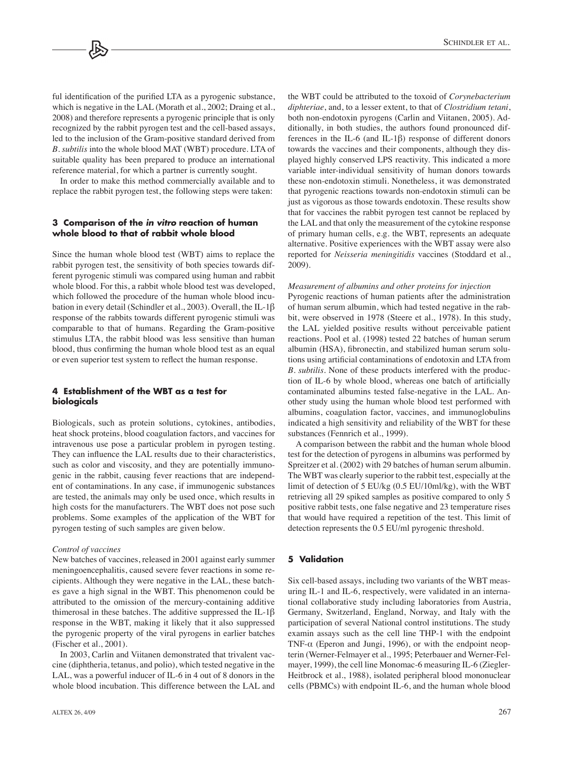ful identification of the purified LTA as a pyrogenic substance, which is negative in the LAL (Morath et al., 2002; Draing et al., 2008) and therefore represents a pyrogenic principle that is only recognized by the rabbit pyrogen test and the cell-based assays, led to the inclusion of the Gram-positive standard derived from *B. subtilis* into the whole blood MAT (WBT) procedure. LTA of suitable quality has been prepared to produce an international reference material, for which a partner is currently sought.

In order to make this method commercially available and to replace the rabbit pyrogen test, the following steps were taken:

# **3 Comparison of the** *in vitro* **reaction of human whole blood to that of rabbit whole blood**

Since the human whole blood test (WBT) aims to replace the rabbit pyrogen test, the sensitivity of both species towards different pyrogenic stimuli was compared using human and rabbit whole blood. For this, a rabbit whole blood test was developed. which followed the procedure of the human whole blood incubation in every detail (Schindler et al., 2003). Overall, the IL-1β response of the rabbits towards different pyrogenic stimuli was comparable to that of humans. Regarding the Gram-positive stimulus LTA, the rabbit blood was less sensitive than human blood, thus confirming the human whole blood test as an equal or even superior test system to reflect the human response.

# **4 Establishment of the WBT as a test for biologicals**

Biologicals, such as protein solutions, cytokines, antibodies, heat shock proteins, blood coagulation factors, and vaccines for intravenous use pose a particular problem in pyrogen testing. They can influence the LAL results due to their characteristics, such as color and viscosity, and they are potentially immunogenic in the rabbit, causing fever reactions that are independent of contaminations. In any case, if immunogenic substances are tested, the animals may only be used once, which results in high costs for the manufacturers. The WBT does not pose such problems. Some examples of the application of the WBT for pyrogen testing of such samples are given below.

#### *Control of vaccines*

New batches of vaccines, released in 2001 against early summer meningoencephalitis, caused severe fever reactions in some recipients. Although they were negative in the LAL, these batches gave a high signal in the WBT. This phenomenon could be attributed to the omission of the mercury-containing additive thimerosal in these batches. The additive suppressed the IL-1β response in the WBT, making it likely that it also suppressed the pyrogenic property of the viral pyrogens in earlier batches (Fischer et al., 2001).

In 2003, Carlin and Viitanen demonstrated that trivalent vaccine (diphtheria, tetanus, and polio), which tested negative in the LAL, was a powerful inducer of IL-6 in 4 out of 8 donors in the whole blood incubation. This difference between the LAL and

the WBT could be attributed to the toxoid of *Corynebacterium diphteriae*, and, to a lesser extent, to that of *Clostridium tetani*, both non-endotoxin pyrogens (Carlin and Viitanen, 2005). Additionally, in both studies, the authors found pronounced differences in the IL-6 (and IL-1β) response of different donors towards the vaccines and their components, although they displayed highly conserved LPS reactivity. This indicated a more variable inter-individual sensitivity of human donors towards these non-endotoxin stimuli. Nonetheless, it was demonstrated that pyrogenic reactions towards non-endotoxin stimuli can be just as vigorous as those towards endotoxin. These results show that for vaccines the rabbit pyrogen test cannot be replaced by the LAL and that only the measurement of the cytokine response of primary human cells, e.g. the WBT, represents an adequate alternative. Positive experiences with the WBT assay were also reported for *Neisseria meningitidis* vaccines (Stoddard et al., 2009).

#### *Measurement of albumins and other proteins for injection*

Pyrogenic reactions of human patients after the administration of human serum albumin, which had tested negative in the rabbit, were observed in 1978 (Steere et al., 1978). In this study, the LAL yielded positive results without perceivable patient reactions. Pool et al. (1998) tested 22 batches of human serum albumin (HSA), fibronectin, and stabilized human serum solutions using artificial contaminations of endotoxin and LTA from *B. subtilis*. None of these products interfered with the production of IL-6 by whole blood, whereas one batch of artificially contaminated albumins tested false-negative in the LAL. Another study using the human whole blood test performed with albumins, coagulation factor, vaccines, and immunoglobulins indicated a high sensitivity and reliability of the WBT for these substances (Fennrich et al., 1999).

A comparison between the rabbit and the human whole blood test for the detection of pyrogens in albumins was performed by Spreitzer et al. (2002) with 29 batches of human serum albumin. The WBT was clearly superior to the rabbit test, especially at the limit of detection of 5 EU/kg (0.5 EU/10ml/kg), with the WBT retrieving all 29 spiked samples as positive compared to only 5 positive rabbit tests, one false negative and 23 temperature rises that would have required a repetition of the test. This limit of detection represents the 0.5 EU/ml pyrogenic threshold.

#### **5 Validation**

Six cell-based assays, including two variants of the WBT measuring IL-1 and IL-6, respectively, were validated in an international collaborative study including laboratories from Austria, Germany, Switzerland, England, Norway, and Italy with the participation of several National control institutions. The study examin assays such as the cell line THP-1 with the endpoint TNF-α (Eperon and Jungi, 1996), or with the endpoint neopterin (Werner-Felmayer et al., 1995; Peterbauer and Werner-Felmayer, 1999), the cell line Monomac-6 measuring IL-6 (Ziegler-Heitbrock et al., 1988), isolated peripheral blood mononuclear cells (PBMCs) with endpoint IL-6, and the human whole blood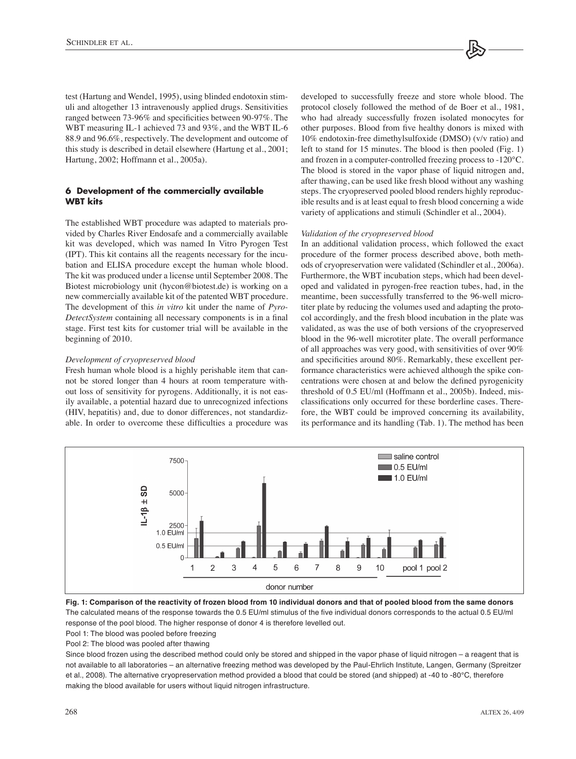test (Hartung and Wendel, 1995), using blinded endotoxin stimuli and altogether 13 intravenously applied drugs. Sensitivities ranged between 73-96% and specificities between 90-97%. The WBT measuring IL-1 achieved 73 and 93%, and the WBT IL-6 88.9 and 96.6%, respectively. The development and outcome of this study is described in detail elsewhere (Hartung et al., 2001; Hartung, 2002; Hoffmann et al., 2005a).

# **6 Development of the commercially available WBT kits**

The established WBT procedure was adapted to materials provided by Charles River Endosafe and a commercially available kit was developed, which was named In Vitro Pyrogen Test (IPT). This kit contains all the reagents necessary for the incubation and ELISA procedure except the human whole blood. The kit was produced under a license until September 2008. The Biotest microbiology unit (hycon@biotest.de) is working on a new commercially available kit of the patented WBT procedure. The development of this *in vitro* kit under the name of *Pyro-DetectSystem* containing all necessary components is in a final stage. First test kits for customer trial will be available in the beginning of 2010.

#### *Development of cryopreserved blood*

Fresh human whole blood is a highly perishable item that cannot be stored longer than 4 hours at room temperature without loss of sensitivity for pyrogens. Additionally, it is not easily available, a potential hazard due to unrecognized infections (HIV, hepatitis) and, due to donor differences, not standardizable. In order to overcome these difficulties a procedure was

developed to successfully freeze and store whole blood. The protocol closely followed the method of de Boer et al., 1981, who had already successfully frozen isolated monocytes for other purposes. Blood from five healthy donors is mixed with 10% endotoxin-free dimethylsulfoxide (DMSO) (v/v ratio) and left to stand for 15 minutes. The blood is then pooled (Fig. 1) and frozen in a computer-controlled freezing process to -120°C. The blood is stored in the vapor phase of liquid nitrogen and, after thawing, can be used like fresh blood without any washing steps. The cryopreserved pooled blood renders highly reproducible results and is at least equal to fresh blood concerning a wide variety of applications and stimuli (Schindler et al., 2004).

#### *Validation of the cryopreserved blood*

In an additional validation process, which followed the exact procedure of the former process described above, both methods of cryopreservation were validated (Schindler et al., 2006a). Furthermore, the WBT incubation steps, which had been developed and validated in pyrogen-free reaction tubes, had, in the meantime, been successfully transferred to the 96-well microtiter plate by reducing the volumes used and adapting the protocol accordingly, and the fresh blood incubation in the plate was validated, as was the use of both versions of the cryopreserved blood in the 96-well microtiter plate. The overall performance of all approaches was very good, with sensitivities of over 90% and specificities around 80%. Remarkably, these excellent performance characteristics were achieved although the spike concentrations were chosen at and below the defined pyrogenicity threshold of 0.5 EU/ml (Hoffmann et al., 2005b). Indeed, misclassifications only occurred for these borderline cases. Therefore, the WBT could be improved concerning its availability, its performance and its handling (Tab. 1). The method has been





Pool 1: The blood was pooled before freezing

Pool 2: The blood was pooled after thawing

Since blood frozen using the described method could only be stored and shipped in the vapor phase of liquid nitrogen – a reagent that is not available to all laboratories – an alternative freezing method was developed by the Paul-Ehrlich Institute, Langen, Germany (Spreitzer et al., 2008). The alternative cryopreservation method provided a blood that could be stored (and shipped) at -40 to -80°C, therefore making the blood available for users without liquid nitrogen infrastructure.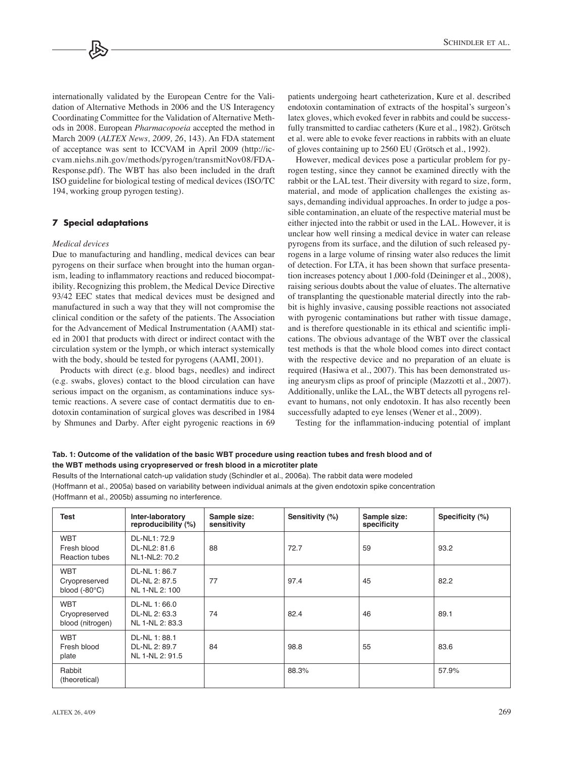internationally validated by the European Centre for the Validation of Alternative Methods in 2006 and the US Interagency Coordinating Committee for the Validation of Alternative Methods in 2008. European *Pharmacopoeia* accepted the method in March 2009 (*ALTEX News, 2009, 26*, 143). An FDA statement of acceptance was sent to ICCVAM in April 2009 (http://iccvam.niehs.nih.gov/methods/pyrogen/transmitNov08/FDA-Response.pdf). The WBT has also been included in the draft ISO guideline for biological testing of medical devices (ISO/TC 194, working group pyrogen testing).

### **7 Special adaptations**

#### *Medical devices*

Due to manufacturing and handling, medical devices can bear pyrogens on their surface when brought into the human organism, leading to inflammatory reactions and reduced biocompatibility. Recognizing this problem, the Medical Device Directive 93/42 EEC states that medical devices must be designed and manufactured in such a way that they will not compromise the clinical condition or the safety of the patients. The Association for the Advancement of Medical Instrumentation (AAMI) stated in 2001 that products with direct or indirect contact with the circulation system or the lymph, or which interact systemically with the body, should be tested for pyrogens (AAMI, 2001).

Products with direct (e.g. blood bags, needles) and indirect (e.g. swabs, gloves) contact to the blood circulation can have serious impact on the organism, as contaminations induce systemic reactions. A severe case of contact dermatitis due to endotoxin contamination of surgical gloves was described in 1984 by Shmunes and Darby. After eight pyrogenic reactions in 69

patients undergoing heart catheterization, Kure et al. described endotoxin contamination of extracts of the hospital's surgeon's latex gloves, which evoked fever in rabbits and could be successfully transmitted to cardiac catheters (Kure et al., 1982). Grötsch et al. were able to evoke fever reactions in rabbits with an eluate of gloves containing up to 2560 EU (Grötsch et al., 1992).

However, medical devices pose a particular problem for pyrogen testing, since they cannot be examined directly with the rabbit or the LAL test. Their diversity with regard to size, form, material, and mode of application challenges the existing assays, demanding individual approaches. In order to judge a possible contamination, an eluate of the respective material must be either injected into the rabbit or used in the LAL. However, it is unclear how well rinsing a medical device in water can release pyrogens from its surface, and the dilution of such released pyrogens in a large volume of rinsing water also reduces the limit of detection. For LTA, it has been shown that surface presentation increases potency about 1,000-fold (Deininger et al., 2008), raising serious doubts about the value of eluates. The alternative of transplanting the questionable material directly into the rabbit is highly invasive, causing possible reactions not associated with pyrogenic contaminations but rather with tissue damage, and is therefore questionable in its ethical and scientific implications. The obvious advantage of the WBT over the classical test methods is that the whole blood comes into direct contact with the respective device and no preparation of an eluate is required (Hasiwa et al., 2007). This has been demonstrated using aneurysm clips as proof of principle (Mazzotti et al., 2007). Additionally, unlike the LAL, the WBT detects all pyrogens relevant to humans, not only endotoxin. It has also recently been successfully adapted to eye lenses (Wener et al., 2009).

Testing for the inflammation-inducing potential of implant

### **Tab. 1: Outcome of the validation of the basic WBT procedure using reaction tubes and fresh blood and of the WBT methods using cryopreserved or fresh blood in a microtiter plate**

Results of the International catch-up validation study (Schindler et al., 2006a). The rabbit data were modeled (Hoffmann et al., 2005a) based on variability between individual animals at the given endotoxin spike concentration (Hoffmann et al., 2005b) assuming no interference.

| Test                                                  | Inter-laboratory<br>reproducibility (%)          | Sample size:<br>sensitivity | Sensitivity (%) | Sample size:<br>specificity | Specificity (%) |
|-------------------------------------------------------|--------------------------------------------------|-----------------------------|-----------------|-----------------------------|-----------------|
| <b>WBT</b><br>Fresh blood<br><b>Reaction tubes</b>    | DL-NL1: 72.9<br>DL-NL2: 81.6<br>NL1-NL2: 70.2    | 88                          | 72.7            | 59                          | 93.2            |
| <b>WBT</b><br>Cryopreserved<br>blood $(-80^{\circ}C)$ | DL-NL 1: 86.7<br>DL-NL 2: 87.5<br>NL 1-NL 2: 100 | 77                          | 97.4            | 45                          | 82.2            |
| <b>WBT</b><br>Cryopreserved<br>blood (nitrogen)       | DL-NL 1:66.0<br>DL-NL 2: 63.3<br>NL 1-NL 2: 83.3 | 74                          | 82.4            | 46                          | 89.1            |
| <b>WBT</b><br>Fresh blood<br>plate                    | DL-NL 1:88.1<br>DL-NL 2: 89.7<br>NL 1-NL 2: 91.5 | 84                          | 98.8            | 55                          | 83.6            |
| Rabbit<br>(theoretical)                               |                                                  |                             | 88.3%           |                             | 57.9%           |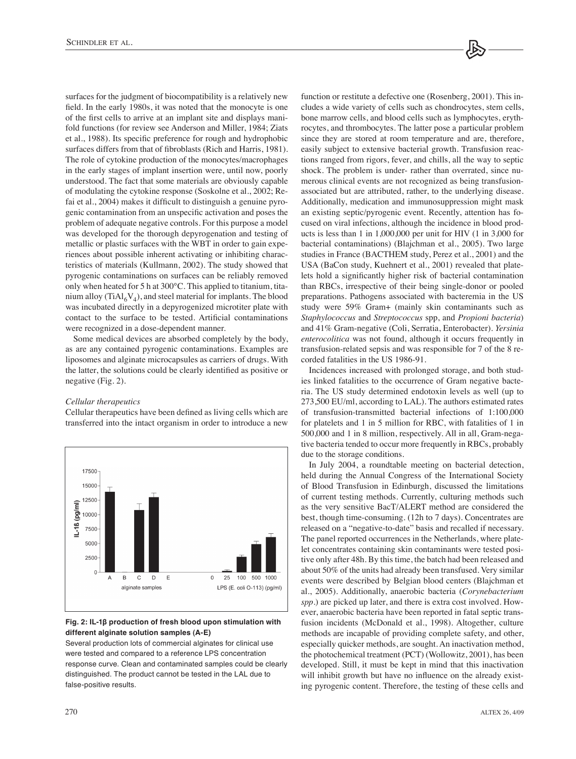surfaces for the judgment of biocompatibility is a relatively new field. In the early 1980s, it was noted that the monocyte is one of the first cells to arrive at an implant site and displays manifold functions (for review see Anderson and Miller, 1984; Ziats et al., 1988). Its specific preference for rough and hydrophobic surfaces differs from that of fibroblasts (Rich and Harris, 1981). The role of cytokine production of the monocytes/macrophages in the early stages of implant insertion were, until now, poorly understood. The fact that some materials are obviously capable of modulating the cytokine response (Soskolne et al., 2002; Refai et al., 2004) makes it difficult to distinguish a genuine pyrogenic contamination from an unspecific activation and poses the problem of adequate negative controls. For this purpose a model was developed for the thorough depyrogenation and testing of metallic or plastic surfaces with the WBT in order to gain experiences about possible inherent activating or inhibiting characteristics of materials (Kullmann, 2002). The study showed that pyrogenic contaminations on surfaces can be reliably removed only when heated for 5 h at 300°C. This applied to titanium, titanium alloy (Ti $Al<sub>6</sub>V<sub>4</sub>$ ), and steel material for implants. The blood was incubated directly in a depyrogenized microtiter plate with contact to the surface to be tested. Artificial contaminations were recognized in a dose-dependent manner.

Some medical devices are absorbed completely by the body, as are any contained pyrogenic contaminations. Examples are liposomes and alginate microcapsules as carriers of drugs. With the latter, the solutions could be clearly identified as positive or negative (Fig. 2).

### *Cellular therapeutics*

Cellular therapeutics have been defined as living cells which are transferred into the intact organism in order to introduce a new



#### **Fig. 2: IL-1β production of fresh blood upon stimulation with different alginate solution samples (A-E)**

Several production lots of commercial alginates for clinical use were tested and compared to a reference LPS concentration response curve. Clean and contaminated samples could be clearly distinguished. The product cannot be tested in the LAL due to false-positive results.

function or restitute a defective one (Rosenberg, 2001). This includes a wide variety of cells such as chondrocytes, stem cells, bone marrow cells, and blood cells such as lymphocytes, erythrocytes, and thrombocytes. The latter pose a particular problem since they are stored at room temperature and are, therefore, easily subject to extensive bacterial growth. Transfusion reactions ranged from rigors, fever, and chills, all the way to septic shock. The problem is under- rather than overrated, since numerous clinical events are not recognized as being transfusionassociated but are attributed, rather, to the underlying disease. Additionally, medication and immunosuppression might mask an existing septic/pyrogenic event. Recently, attention has focused on viral infections, although the incidence in blood products is less than 1 in 1,000,000 per unit for HIV (1 in 3,000 for bacterial contaminations) (Blajchman et al., 2005). Two large studies in France (BACTHEM study, Perez et al., 2001) and the USA (BaCon study, Kuehnert et al., 2001) revealed that platelets hold a significantly higher risk of bacterial contamination than RBCs, irrespective of their being single-donor or pooled preparations. Pathogens associated with bacteremia in the US study were 59% Gram+ (mainly skin contaminants such as *Staphylococcus* and *Streptococcus* spp, and *Propioni bacteria*) and 41% Gram-negative (Coli, Serratia, Enterobacter). *Yersinia enterocolitica* was not found, although it occurs frequently in transfusion-related sepsis and was responsible for 7 of the 8 recorded fatalities in the US 1986-91.

Incidences increased with prolonged storage, and both studies linked fatalities to the occurrence of Gram negative bacteria. The US study determined endotoxin levels as well (up to 273,500 EU/ml, according to LAL). The authors estimated rates of transfusion-transmitted bacterial infections of 1:100,000 for platelets and 1 in 5 million for RBC, with fatalities of 1 in 500,000 and 1 in 8 million, respectively. All in all, Gram-negative bacteria tended to occur more frequently in RBCs, probably due to the storage conditions.

In July 2004, a roundtable meeting on bacterial detection, held during the Annual Congress of the International Society of Blood Transfusion in Edinburgh, discussed the limitations of current testing methods. Currently, culturing methods such as the very sensitive BacT/ALERT method are considered the best, though time-consuming. (12h to 7 days). Concentrates are released on a "negative-to-date" basis and recalled if necessary. The panel reported occurrences in the Netherlands, where platelet concentrates containing skin contaminants were tested positive only after 48h. By this time, the batch had been released and about 50% of the units had already been transfused. Very similar events were described by Belgian blood centers (Blajchman et al., 2005). Additionally, anaerobic bacteria (*Corynebacterium spp*.) are picked up later, and there is extra cost involved. However, anaerobic bacteria have been reported in fatal septic transfusion incidents (McDonald et al., 1998). Altogether, culture methods are incapable of providing complete safety, and other, especially quicker methods, are sought. An inactivation method, the photochemical treatment (PCT) (Wollowitz, 2001), has been developed. Still, it must be kept in mind that this inactivation will inhibit growth but have no influence on the already existing pyrogenic content. Therefore, the testing of these cells and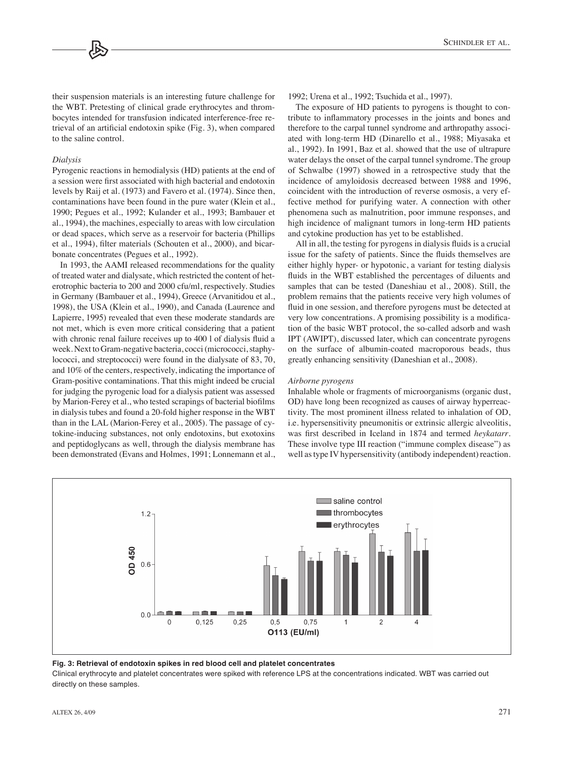their suspension materials is an interesting future challenge for the WBT. Pretesting of clinical grade erythrocytes and thrombocytes intended for transfusion indicated interference-free retrieval of an artificial endotoxin spike (Fig. 3), when compared to the saline control.

#### *Dialysis*

Pyrogenic reactions in hemodialysis (HD) patients at the end of a session were first associated with high bacterial and endotoxin levels by Raij et al. (1973) and Favero et al. (1974). Since then, contaminations have been found in the pure water (Klein et al., 1990; Pegues et al., 1992; Kulander et al., 1993; Bambauer et al., 1994), the machines, especially to areas with low circulation or dead spaces, which serve as a reservoir for bacteria (Phillips et al., 1994), filter materials (Schouten et al., 2000), and bicarbonate concentrates (Pegues et al., 1992).

In 1993, the AAMI released recommendations for the quality of treated water and dialysate, which restricted the content of heterotrophic bacteria to 200 and 2000 cfu/ml, respectively. Studies in Germany (Bambauer et al., 1994), Greece (Arvanitidou et al., 1998), the USA (Klein et al., 1990), and Canada (Laurence and Lapierre, 1995) revealed that even these moderate standards are not met, which is even more critical considering that a patient with chronic renal failure receives up to 400 l of dialysis fluid a week. Next to Gram-negative bacteria, cocci (micrococci, staphylococci, and streptococci) were found in the dialysate of 83, 70, and 10% of the centers, respectively, indicating the importance of Gram-positive contaminations. That this might indeed be crucial for judging the pyrogenic load for a dialysis patient was assessed by Marion-Ferey et al., who tested scrapings of bacterial biofilms in dialysis tubes and found a 20-fold higher response in the WBT than in the LAL (Marion-Ferey et al., 2005). The passage of cytokine-inducing substances, not only endotoxins, but exotoxins and peptidoglycans as well, through the dialysis membrane has been demonstrated (Evans and Holmes, 1991; Lonnemann et al., 1992; Urena et al., 1992; Tsuchida et al., 1997).

The exposure of HD patients to pyrogens is thought to contribute to inflammatory processes in the joints and bones and therefore to the carpal tunnel syndrome and arthropathy associated with long-term HD (Dinarello et al., 1988; Miyasaka et al., 1992). In 1991, Baz et al. showed that the use of ultrapure water delays the onset of the carpal tunnel syndrome. The group of Schwalbe (1997) showed in a retrospective study that the incidence of amyloidosis decreased between 1988 and 1996, coincident with the introduction of reverse osmosis, a very effective method for purifying water. A connection with other phenomena such as malnutrition, poor immune responses, and high incidence of malignant tumors in long-term HD patients and cytokine production has yet to be established.

All in all, the testing for pyrogens in dialysis fluids is a crucial issue for the safety of patients. Since the fluids themselves are either highly hyper- or hypotonic, a variant for testing dialysis fluids in the WBT established the percentages of diluents and samples that can be tested (Daneshiau et al., 2008). Still, the problem remains that the patients receive very high volumes of fluid in one session, and therefore pyrogens must be detected at very low concentrations. A promising possibility is a modification of the basic WBT protocol, the so-called adsorb and wash IPT (AWIPT), discussed later, which can concentrate pyrogens on the surface of albumin-coated macroporous beads, thus greatly enhancing sensitivity (Daneshian et al., 2008).

#### *Airborne pyrogens*

Inhalable whole or fragments of microorganisms (organic dust, OD) have long been recognized as causes of airway hyperreactivity. The most prominent illness related to inhalation of OD, i.e. hypersensitivity pneumonitis or extrinsic allergic alveolitis, was first described in Iceland in 1874 and termed *heykatarr*. These involve type III reaction ("immune complex disease") as well as type IV hypersensitivity (antibody independent) reaction.



**Fig. 3: Retrieval of endotoxin spikes in red blood cell and platelet concentrates**

Clinical erythrocyte and platelet concentrates were spiked with reference LPS at the concentrations indicated. WBT was carried out directly on these samples.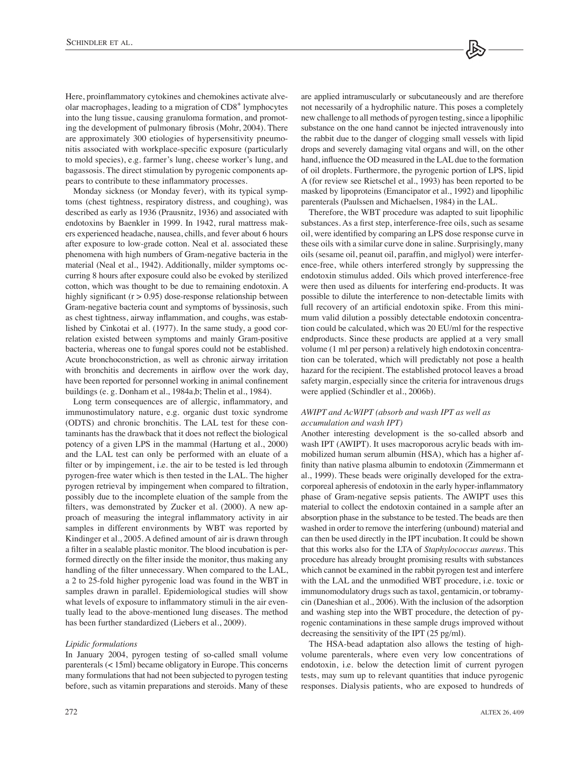Here, proinflammatory cytokines and chemokines activate alveolar macrophages, leading to a migration of CD8<sup>+</sup> lymphocytes into the lung tissue, causing granuloma formation, and promoting the development of pulmonary fibrosis (Mohr, 2004). There are approximately 300 etiologies of hypersensitivity pneumonitis associated with workplace-specific exposure (particularly to mold species), e.g. farmer's lung, cheese worker's lung, and bagassosis. The direct stimulation by pyrogenic components appears to contribute to these inflammatory processes.

Monday sickness (or Monday fever), with its typical symptoms (chest tightness, respiratory distress, and coughing), was described as early as 1936 (Prausnitz, 1936) and associated with endotoxins by Baenkler in 1999. In 1942, rural mattress makers experienced headache, nausea, chills, and fever about 6 hours after exposure to low-grade cotton. Neal et al. associated these phenomena with high numbers of Gram-negative bacteria in the material (Neal et al., 1942). Additionally, milder symptoms occurring 8 hours after exposure could also be evoked by sterilized cotton, which was thought to be due to remaining endotoxin. A highly significant  $(r > 0.95)$  dose-response relationship between Gram-negative bacteria count and symptoms of byssinosis, such as chest tightness, airway inflammation, and coughs, was established by Cinkotai et al. (1977). In the same study, a good correlation existed between symptoms and mainly Gram-positive bacteria, whereas one to fungal spores could not be established. Acute bronchoconstriction, as well as chronic airway irritation with bronchitis and decrements in airflow over the work day, have been reported for personnel working in animal confinement buildings (e. g. Donham et al., 1984a,b; Thelin et al., 1984).

Long term consequences are of allergic, inflammatory, and immunostimulatory nature, e.g. organic dust toxic syndrome (ODTS) and chronic bronchitis. The LAL test for these contaminants has the drawback that it does not reflect the biological potency of a given LPS in the mammal (Hartung et al., 2000) and the LAL test can only be performed with an eluate of a filter or by impingement, i.e. the air to be tested is led through pyrogen-free water which is then tested in the LAL. The higher pyrogen retrieval by impingement when compared to filtration, possibly due to the incomplete eluation of the sample from the filters, was demonstrated by Zucker et al. (2000). A new approach of measuring the integral inflammatory activity in air samples in different environments by WBT was reported by Kindinger et al., 2005. A defined amount of air is drawn through a filter in a sealable plastic monitor. The blood incubation is performed directly on the filter inside the monitor, thus making any handling of the filter unnecessary. When compared to the LAL, a 2 to 25-fold higher pyrogenic load was found in the WBT in samples drawn in parallel. Epidemiological studies will show what levels of exposure to inflammatory stimuli in the air eventually lead to the above-mentioned lung diseases. The method has been further standardized (Liebers et al., 2009).

#### *Lipidic formulations*

In January 2004, pyrogen testing of so-called small volume parenterals (< 15ml) became obligatory in Europe. This concerns many formulations that had not been subjected to pyrogen testing before, such as vitamin preparations and steroids. Many of these

are applied intramuscularly or subcutaneously and are therefore not necessarily of a hydrophilic nature. This poses a completely new challenge to all methods of pyrogen testing, since a lipophilic substance on the one hand cannot be injected intravenously into the rabbit due to the danger of clogging small vessels with lipid drops and severely damaging vital organs and will, on the other hand, influence the OD measured in the LAL due to the formation of oil droplets. Furthermore, the pyrogenic portion of LPS, lipid A (for review see Rietschel et al., 1993) has been reported to be masked by lipoproteins (Emancipator et al., 1992) and lipophilic parenterals (Paulssen and Michaelsen, 1984) in the LAL.

Therefore, the WBT procedure was adapted to suit lipophilic substances. As a first step, interference-free oils, such as sesame oil, were identified by comparing an LPS dose response curve in these oils with a similar curve done in saline. Surprisingly, many oils (sesame oil, peanut oil, paraffin, and miglyol) were interference-free, while others interfered strongly by suppressing the endotoxin stimulus added. Oils which proved interference-free were then used as diluents for interfering end-products. It was possible to dilute the interference to non-detectable limits with full recovery of an artificial endotoxin spike. From this minimum valid dilution a possibly detectable endotoxin concentration could be calculated, which was 20 EU/ml for the respective endproducts. Since these products are applied at a very small volume (1 ml per person) a relatively high endotoxin concentration can be tolerated, which will predictably not pose a health hazard for the recipient. The established protocol leaves a broad safety margin, especially since the criteria for intravenous drugs were applied (Schindler et al., 2006b).

# *AWIPT and AcWIPT (absorb and wash IPT as well as accumulation and wash IPT)*

Another interesting development is the so-called absorb and wash IPT (AWIPT). It uses macroporous acrylic beads with immobilized human serum albumin (HSA), which has a higher affinity than native plasma albumin to endotoxin (Zimmermann et al., 1999). These beads were originally developed for the extracorporeal apheresis of endotoxin in the early hyper-inflammatory phase of Gram-negative sepsis patients. The AWIPT uses this material to collect the endotoxin contained in a sample after an absorption phase in the substance to be tested. The beads are then washed in order to remove the interfering (unbound) material and can then be used directly in the IPT incubation. It could be shown that this works also for the LTA of *Staphylococcus aureus*. This procedure has already brought promising results with substances which cannot be examined in the rabbit pyrogen test and interfere with the LAL and the unmodified WBT procedure, i.e. toxic or immunomodulatory drugs such as taxol, gentamicin, or tobramycin (Daneshian et al., 2006). With the inclusion of the adsorption and washing step into the WBT procedure, the detection of pyrogenic contaminations in these sample drugs improved without decreasing the sensitivity of the IPT (25 pg/ml).

The HSA-bead adaptation also allows the testing of highvolume parenterals, where even very low concentrations of endotoxin, i.e. below the detection limit of current pyrogen tests, may sum up to relevant quantities that induce pyrogenic responses. Dialysis patients, who are exposed to hundreds of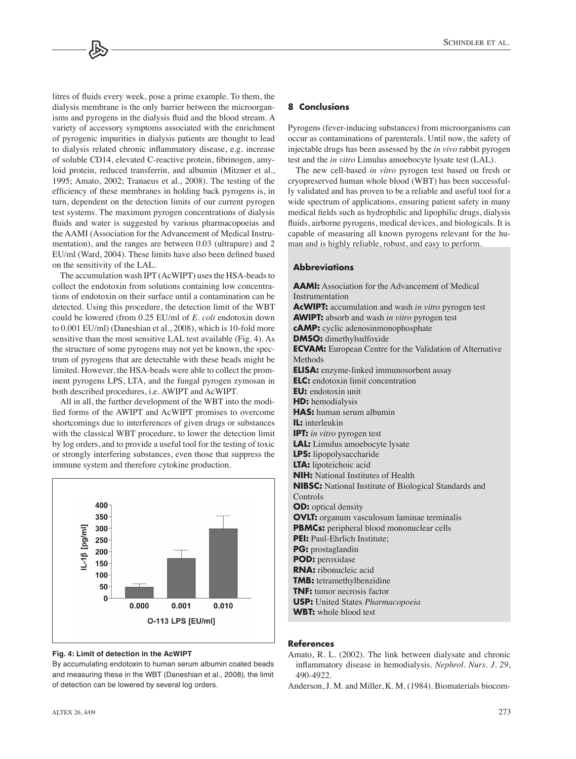litres of fluids every week, pose a prime example. To them, the dialysis membrane is the only barrier between the microorganisms and pyrogens in the dialysis fluid and the blood stream. A variety of accessory symptoms associated with the enrichment of pyrogenic impurities in dialysis patients are thought to lead to dialysis related chronic inflammatory disease, e.g. increase of soluble CD14, elevated C-reactive protein, fibrinogen, amyloid protein, reduced transferrin, and albumin (Mitzner et al., 1995; Amato, 2002; Tranaeus et al., 2008). The testing of the efficiency of these membranes in holding back pyrogens is, in turn, dependent on the detection limits of our current pyrogen test systems. The maximum pyrogen concentrations of dialysis fluids and water is suggested by various pharmacopoeias and the AAMI (Association for the Advancement of Medical Instrumentation), and the ranges are between 0.03 (ultrapure) and 2 EU/ml (Ward, 2004). These limits have also been defined based on the sensitivity of the LAL.

The accumulation wash IPT (AcWIPT) uses the HSA-beads to collect the endotoxin from solutions containing low concentrations of endotoxin on their surface until a contamination can be detected. Using this procedure, the detection limit of the WBT could be lowered (from 0.25 EU/ml of *E. coli* endotoxin down to 0.001 EU/ml) (Daneshian et al., 2008), which is 10-fold more sensitive than the most sensitive LAL test available (Fig. 4). As the structure of some pyrogens may not yet be known, the spectrum of pyrogens that are detectable with these beads might be limited. However, the HSA-beads were able to collect the prominent pyrogens LPS, LTA, and the fungal pyrogen zymosan in both described procedures, i.e. AWIPT and AcWIPT.

All in all, the further development of the WBT into the modified forms of the AWIPT and AcWIPT promises to overcome shortcomings due to interferences of given drugs or substances with the classical WBT procedure, to lower the detection limit by log orders, and to provide a useful tool for the testing of toxic or strongly interfering substances, even those that suppress the immune system and therefore cytokine production.



#### **Fig. 4: Limit of detection in the AcWIPT**

By accumulating endotoxin to human serum albumin coated beads and measuring these in the WBT (Daneshian et al., 2008), the limit of detection can be lowered by several log orders.

#### **8 Conclusions**

Pyrogens (fever-inducing substances) from microorganisms can occur as contaminations of parenterals. Until now, the safety of injectable drugs has been assessed by the *in vivo* rabbit pyrogen test and the *in vitro* Limulus amoebocyte lysate test (LAL).

The new cell-based *in vitro* pyrogen test based on fresh or cryopreserved human whole blood (WBT) has been successfully validated and has proven to be a reliable and useful tool for a wide spectrum of applications, ensuring patient safety in many medical fields such as hydrophilic and lipophilic drugs, dialysis fluids, airborne pyrogens, medical devices, and biologicals. It is capable of measuring all known pyrogens relevant for the human and is highly reliable, robust, and easy to perform.

# **Abbreviations**

**AAMI:** Association for the Advancement of Medical Instrumentation **AcWIPT:** accumulation and wash *in vitro* pyrogen test **AWIPT:** absorb and wash *in vitro* pyrogen test **cAMP:** cyclic adenosinmonophosphate **DMSO:** dimethylsulfoxide **ECVAM:** European Centre for the Validation of Alternative Methods **ELISA:** enzyme-linked immunosorbent assay **ELC:** endotoxin limit concentration **EU:** endotoxin unit **HD:** hemodialysis **HAS:** human serum albumin **IL:** interleukin **IPT:** *in vitro* pyrogen test **LAL:** Limulus amoebocyte lysate **LPS:** lipopolysaccharide **LTA:** lipoteichoic acid **NIH:** National Institutes of Health **NIBSC:** National Institute of Biological Standards and Controls **OD:** optical density **OVLT:** organum vasculosum laminae terminalis **PBMCs:** peripheral blood mononuclear cells **PEI:** Paul-Ehrlich Institute; **PG:** prostaglandin **POD:** peroxidase **RNA:** ribonucleic acid **TMB:** tetramethylbenzidine **TNF:** tumor necrosis factor **USP:** United States *Pharmacopoeia* **WBT:** whole blood test

#### **References**

- Amato, R. L. (2002). The link between dialysate and chronic inflammatory disease in hemodialysis. *Nephrol. Nurs. J. 29*, 490-4922.
- Anderson, J. M. and Miller, K. M. (1984). Biomaterials biocom-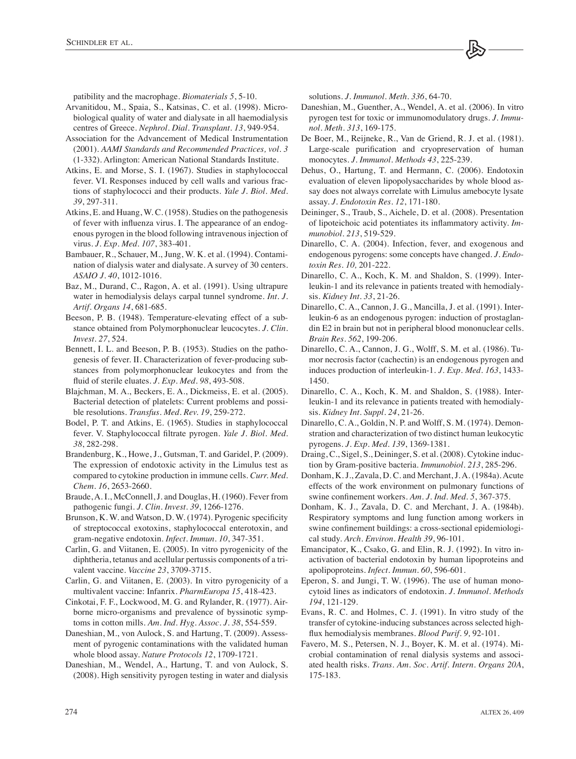patibility and the macrophage. *Biomaterials 5*, 5-10.

- Arvanitidou, M., Spaia, S., Katsinas, C. et al. (1998). Microbiological quality of water and dialysate in all haemodialysis centres of Greece. *Nephrol. Dial. Transplant. 13*, 949-954.
- Association for the Advancement of Medical Instrumentation (2001). *AAMI Standards and Recommended Practices, vol. 3* (1-332). Arlington: American National Standards Institute.
- Atkins, E. and Morse, S. I. (1967). Studies in staphylococcal fever. VI. Responses induced by cell walls and various fractions of staphylococci and their products. *Yale J. Biol. Med. 39*, 297-311.
- Atkins, E. and Huang, W. C. (1958). Studies on the pathogenesis of fever with influenza virus. I. The appearance of an endogenous pyrogen in the blood following intravenous injection of virus. *J. Exp. Med. 107*, 383-401.
- Bambauer, R., Schauer, M., Jung, W. K. et al. (1994). Contamination of dialysis water and dialysate. A survey of 30 centers. *ASAIO J. 40*, 1012-1016.
- Baz, M., Durand, C., Ragon, A. et al. (1991). Using ultrapure water in hemodialysis delays carpal tunnel syndrome. *Int. J. Artif. Organs 14*, 681-685.
- Beeson, P. B. (1948). Temperature-elevating effect of a substance obtained from Polymorphonuclear leucocytes. *J. Clin. Invest. 27*, 524.
- Bennett, I. L. and Beeson, P. B. (1953). Studies on the pathogenesis of fever. II. Characterization of fever-producing substances from polymorphonuclear leukocytes and from the fluid of sterile eluates. *J. Exp. Med. 98*, 493-508.
- Blajchman, M. A., Beckers, E. A., Dickmeiss, E. et al. (2005). Bacterial detection of platelets: Current problems and possible resolutions. *Transfus. Med. Rev. 19*, 259-272.
- Bodel, P. T. and Atkins, E. (1965). Studies in staphylococcal fever. V. Staphylococcal filtrate pyrogen. *Yale J. Biol. Med. 38*, 282-298.
- Brandenburg, K., Howe, J., Gutsman, T. and Garidel, P. (2009). The expression of endotoxic activity in the Limulus test as compared to cytokine production in immune cells. *Curr. Med. Chem. 16*, 2653-2660.
- Braude, A. I., McConnell, J. and Douglas, H. (1960). Fever from pathogenic fungi. *J. Clin. Invest. 39*, 1266-1276.
- Brunson, K. W. and Watson, D. W. (1974). Pyrogenic specificity of streptococcal exotoxins, staphylococcal enterotoxin, and gram-negative endotoxin. *Infect. Immun. 10*, 347-351.
- Carlin, G. and Viitanen, E. (2005). In vitro pyrogenicity of the diphtheria, tetanus and acellular pertussis components of a trivalent vaccine. *Vaccine 23*, 3709-3715.
- Carlin, G. and Viitanen, E. (2003). In vitro pyrogenicity of a multivalent vaccine: Infanrix. *PharmEuropa 15*, 418-423.
- Cinkotai, F. F., Lockwood, M. G. and Rylander, R. (1977). Airborne micro-organisms and prevalence of byssinotic symptoms in cotton mills. *Am. Ind. Hyg. Assoc. J. 38*, 554-559.
- Daneshian, M., von Aulock, S. and Hartung, T. (2009). Assessment of pyrogenic contaminations with the validated human whole blood assay. *Nature Protocols 12*, 1709-1721.
- Daneshian, M., Wendel, A., Hartung, T. and von Aulock, S. (2008). High sensitivity pyrogen testing in water and dialysis

solutions. *J. Immunol. Meth. 336*, 64-70.

- Daneshian, M., Guenther, A., Wendel, A. et al. (2006). In vitro pyrogen test for toxic or immunomodulatory drugs. *J. Immunol. Meth. 313*, 169-175.
- De Boer, M., Reijneke, R., Van de Griend, R. J. et al. (1981). Large-scale purification and cryopreservation of human monocytes. *J. Immunol. Methods 43*, 225-239.
- Dehus, O., Hartung, T. and Hermann, C. (2006). Endotoxin evaluation of eleven lipopolysaccharides by whole blood assay does not always correlate with Limulus amebocyte lysate assay. *J. Endotoxin Res. 12*, 171-180.
- Deininger, S., Traub, S., Aichele, D. et al. (2008). Presentation of lipoteichoic acid potentiates its inflammatory activity. *Immunobiol. 213*, 519-529.
- Dinarello, C. A. (2004). Infection, fever, and exogenous and endogenous pyrogens: some concepts have changed. *J. Endotoxin Res. 10,* 201-222.
- Dinarello, C. A., Koch, K. M. and Shaldon, S. (1999). Interleukin-1 and its relevance in patients treated with hemodialysis. *Kidney Int. 33*, 21-26.
- Dinarello, C. A., Cannon, J. G., Mancilla, J. et al. (1991). Interleukin-6 as an endogenous pyrogen: induction of prostaglandin E2 in brain but not in peripheral blood mononuclear cells. *Brain Res. 562*, 199-206.
- Dinarello, C. A., Cannon, J. G., Wolff, S. M. et al. (1986). Tumor necrosis factor (cachectin) is an endogenous pyrogen and induces production of interleukin-1. *J. Exp. Med. 163*, 1433- 1450.
- Dinarello, C. A., Koch, K. M. and Shaldon, S. (1988). Interleukin-1 and its relevance in patients treated with hemodialysis. *Kidney Int. Suppl. 24*, 21-26.
- Dinarello, C. A., Goldin, N. P. and Wolff, S. M. (1974). Demonstration and characterization of two distinct human leukocytic pyrogens. *J. Exp. Med. 139*, 1369-1381.
- Draing, C., Sigel, S., Deininger, S. et al. (2008). Cytokine induction by Gram-positive bacteria. *Immunobiol. 213*, 285-296.
- Donham, K. J., Zavala, D. C. and Merchant, J. A. (1984a). Acute effects of the work environment on pulmonary functions of swine confinement workers. *Am. J. Ind. Med. 5*, 367-375.
- Donham, K. J., Zavala, D. C. and Merchant, J. A. (1984b). Respiratory symptoms and lung function among workers in swine confinement buildings: a cross-sectional epidemiological study. *Arch. Environ. Health 39*, 96-101.
- Emancipator, K., Csako, G. and Elin, R. J. (1992). In vitro inactivation of bacterial endotoxin by human lipoproteins and apolipoproteins. *Infect. Immun. 60*, 596-601.
- Eperon, S. and Jungi, T. W. (1996). The use of human monocytoid lines as indicators of endotoxin. *J. Immunol. Methods 194*, 121-129.
- Evans, R. C. and Holmes, C. J. (1991). In vitro study of the transfer of cytokine-inducing substances across selected highflux hemodialysis membranes. *Blood Purif. 9,* 92-101.
- Favero, M. S., Petersen, N. J., Boyer, K. M. et al. (1974). Microbial contamination of renal dialysis systems and associated health risks. *Trans. Am. Soc. Artif. Intern. Organs 20A*, 175-183.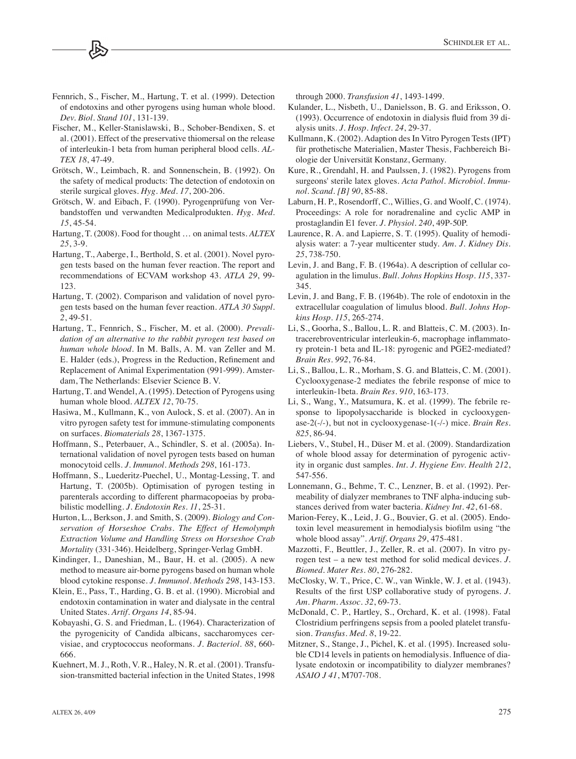#### Fennrich, S., Fischer, M., Hartung, T. et al. (1999). Detection of endotoxins and other pyrogens using human whole blood. *Dev. Biol. Stand 101*, 131-139.

- Fischer, M., Keller-Stanislawski, B., Schober-Bendixen, S. et al. (2001). Effect of the preservative thiomersal on the release of interleukin-1 beta from human peripheral blood cells. *AL-TEX 18*, 47-49.
- Grötsch, W., Leimbach, R. and Sonnenschein, B. (1992). On the safety of medical products: The detection of endotoxin on sterile surgical gloves. *Hyg. Med. 17*, 200-206.
- Grötsch, W. and Eibach, F. (1990). Pyrogenprüfung von Verbandstoffen und verwandten Medicalprodukten. *Hyg. Med. 15*, 45-54.
- Hartung, T. (2008). Food for thought … on animal tests. *ALTEX 25*, 3-9.
- Hartung, T., Aaberge, I., Berthold, S. et al. (2001). Novel pyrogen tests based on the human fever reaction. The report and recommendations of ECVAM workshop 43. *ATLA 29*, 99- 123.
- Hartung, T. (2002). Comparison and validation of novel pyrogen tests based on the human fever reaction. *ATLA 30 Suppl. 2*, 49-51.
- Hartung, T., Fennrich, S., Fischer, M. et al. (2000). *Prevalidation of an alternative to the rabbit pyrogen test based on human whole blood*. In M. Balls, A. M. van Zeller and M. E. Halder (eds.), Progress in the Reduction, Refinement and Replacement of Animal Experimentation (991-999). Amsterdam, The Netherlands: Elsevier Science B. V.
- Hartung, T. and Wendel, A. (1995). Detection of Pyrogens using human whole blood. *ALTEX 12*, 70-75.
- Hasiwa, M., Kullmann, K., von Aulock, S. et al. (2007). An in vitro pyrogen safety test for immune-stimulating components on surfaces. *Biomaterials 28*, 1367-1375.
- Hoffmann, S., Peterbauer, A., Schindler, S. et al. (2005a). International validation of novel pyrogen tests based on human monocytoid cells. *J. Immunol. Methods 298*, 161-173.
- Hoffmann, S., Luederitz-Puechel, U., Montag-Lessing, T. and Hartung, T. (2005b). Optimisation of pyrogen testing in parenterals according to different pharmacopoeias by probabilistic modelling. *J. Endotoxin Res. 11*, 25-31.
- Hurton, L., Berkson, J. and Smith, S. (2009). *Biology and Conservation of Horseshoe Crabs. The Effect of Hemolymph Extraction Volume and Handling Stress on Horseshoe Crab Mortality* (331-346). Heidelberg, Springer-Verlag GmbH.
- Kindinger, I., Daneshian, M., Baur, H. et al. (2005). A new method to measure air-borne pyrogens based on human whole blood cytokine response. *J. Immunol. Methods 298*, 143-153.
- Klein, E., Pass, T., Harding, G. B. et al. (1990). Microbial and endotoxin contamination in water and dialysate in the central United States. *Artif. Organs 14*, 85-94.
- Kobayashi, G. S. and Friedman, L. (1964). Characterization of the pyrogenicity of Candida albicans, saccharomyces cervisiae, and cryptococcus neoformans. *J. Bacteriol. 88*, 660- 666.
- Kuehnert, M. J., Roth, V. R., Haley, N. R. et al. (2001). Transfusion-transmitted bacterial infection in the United States, 1998

through 2000. *Transfusion 41*, 1493-1499.

- Kulander, L., Nisbeth, U., Danielsson, B. G. and Eriksson, O. (1993). Occurrence of endotoxin in dialysis fluid from 39 dialysis units. *J. Hosp. Infect. 24*, 29-37.
- Kullmann, K. (2002). Adaption des In Vitro Pyrogen Tests (IPT) für prothetische Materialien, Master Thesis, Fachbereich Biologie der Universität Konstanz, Germany.
- Kure, R., Grendahl, H. and Paulssen, J. (1982). Pyrogens from surgeons' sterile latex gloves. *Acta Pathol. Microbiol. Immunol. Scand. [B] 90*, 85-88.
- Laburn, H. P., Rosendorff, C., Willies, G. and Woolf, C. (1974). Proceedings: A role for noradrenaline and cyclic AMP in prostaglandin E1 fever. *J. Physiol. 240*, 49P-50P.
- Laurence, R. A. and Lapierre, S. T. (1995). Quality of hemodialysis water: a 7-year multicenter study. *Am. J. Kidney Dis. 25*, 738-750.
- Levin, J. and Bang, F. B. (1964a). A description of cellular coagulation in the limulus. *Bull. Johns Hopkins Hosp. 115*, 337- 345.
- Levin, J. and Bang, F. B. (1964b). The role of endotoxin in the extracellular coagulation of limulus blood. *Bull. Johns Hopkins Hosp. 115*, 265-274.
- Li, S., Goorha, S., Ballou, L. R. and Blatteis, C. M. (2003). Intracerebroventricular interleukin-6, macrophage inflammatory protein-1 beta and IL-18: pyrogenic and PGE2-mediated? *Brain Res. 992*, 76-84.
- Li, S., Ballou, L. R., Morham, S. G. and Blatteis, C. M. (2001). Cyclooxygenase-2 mediates the febrile response of mice to interleukin-1beta. *Brain Res. 910*, 163-173.
- Li, S., Wang, Y., Matsumura, K. et al. (1999). The febrile response to lipopolysaccharide is blocked in cyclooxygenase-2(-/-), but not in cyclooxygenase-1(-/-) mice. *Brain Res. 825*, 86-94.
- Liebers, V., Stubel, H., Düser M. et al. (2009). Standardization of whole blood assay for determination of pyrogenic activity in organic dust samples. *Int. J. Hygiene Env. Health 212*, 547-556.
- Lonnemann, G., Behme, T. C., Lenzner, B. et al. (1992). Permeability of dialyzer membranes to TNF alpha-inducing substances derived from water bacteria. *Kidney Int. 42*, 61-68.
- Marion-Ferey, K., Leid, J. G., Bouvier, G. et al. (2005). Endotoxin level measurement in hemodialysis biofilm using "the whole blood assay". *Artif. Organs 29*, 475-481.
- Mazzotti, F., Beuttler, J., Zeller, R. et al. (2007). In vitro pyrogen test – a new test method for solid medical devices. *J. Biomed. Mater Res. 80*, 276-282.
- McClosky, W. T., Price, C. W., van Winkle, W. J. et al. (1943). Results of the first USP collaborative study of pyrogens. *J. Am. Pharm. Assoc. 32*, 69-73.
- McDonald, C. P., Hartley, S., Orchard, K. et al. (1998). Fatal Clostridium perfringens sepsis from a pooled platelet transfusion. *Transfus. Med. 8*, 19-22.
- Mitzner, S., Stange, J., Pichel, K. et al. (1995). Increased soluble CD14 levels in patients on hemodialysis. Influence of dialysate endotoxin or incompatibility to dialyzer membranes? *ASAIO J 41*, M707-708.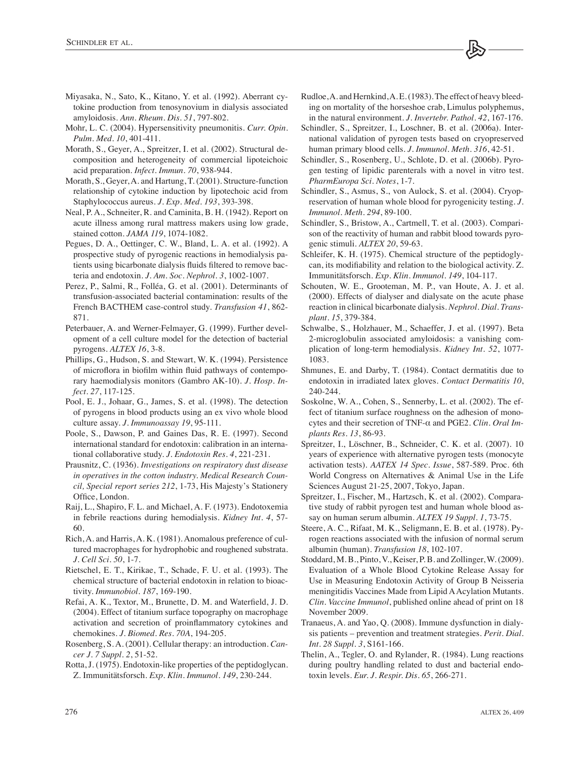- Miyasaka, N., Sato, K., Kitano, Y. et al. (1992). Aberrant cytokine production from tenosynovium in dialysis associated amyloidosis. *Ann. Rheum. Dis. 51*, 797-802.
- Mohr, L. C. (2004). Hypersensitivity pneumonitis. *Curr. Opin. Pulm. Med. 10*, 401-411.
- Morath, S., Geyer, A., Spreitzer, I. et al. (2002). Structural decomposition and heterogeneity of commercial lipoteichoic acid preparation. *Infect. Immun. 70*, 938-944.
- Morath, S., Geyer, A. and Hartung, T. (2001). Structure-function relationship of cytokine induction by lipotechoic acid from Staphylococcus aureus. *J. Exp. Med. 193*, 393-398.
- Neal, P. A., Schneiter, R. and Caminita, B. H. (1942). Report on acute illness among rural mattress makers using low grade, stained cotton. *JAMA 119*, 1074-1082.
- Pegues, D. A., Oettinger, C. W., Bland, L. A. et al. (1992). A prospective study of pyrogenic reactions in hemodialysis patients using bicarbonate dialysis fluids filtered to remove bacteria and endotoxin. *J. Am. Soc. Nephrol. 3*, 1002-1007.
- Perez, P., Salmi, R., Folléa, G. et al. (2001). Determinants of transfusion-associated bacterial contamination: results of the French BACTHEM case-control study. *Transfusion 41*, 862- 871.
- Peterbauer, A. and Werner-Felmayer, G. (1999). Further development of a cell culture model for the detection of bacterial pyrogens. *ALTEX 16*, 3-8.
- Phillips, G., Hudson, S. and Stewart, W. K. (1994). Persistence of microflora in biofilm within fluid pathways of contemporary haemodialysis monitors (Gambro AK-10). *J. Hosp. Infect. 27*, 117-125.
- Pool, E. J., Johaar, G., James, S. et al. (1998). The detection of pyrogens in blood products using an ex vivo whole blood culture assay. *J. Immunoassay 19*, 95-111.
- Poole, S., Dawson, P. and Gaines Das, R. E. (1997). Second international standard for endotoxin: calibration in an international collaborative study. *J. Endotoxin Res. 4*, 221-231.
- Prausnitz, C. (1936). *Investigations on respiratory dust disease in operatives in the cotton industry. Medical Research Council, Special report series 212*, 1-73, His Majesty̓s Stationery Office, London.
- Raij, L., Shapiro, F. L. and Michael, A. F. (1973). Endotoxemia in febrile reactions during hemodialysis. *Kidney Int. 4*, 57- 60.
- Rich, A. and Harris, A. K. (1981). Anomalous preference of cultured macrophages for hydrophobic and roughened substrata. *J. Cell Sci. 50*, 1-7.
- Rietschel, E. T., Kirikae, T., Schade, F. U. et al. (1993). The chemical structure of bacterial endotoxin in relation to bioactivity. *Immunobiol. 187*, 169-190.
- Refai, A. K., Textor, M., Brunette, D. M. and Waterfield, J. D. (2004). Effect of titanium surface topography on macrophage activation and secretion of proinflammatory cytokines and chemokines. *J. Biomed. Res. 70A*, 194-205.
- Rosenberg, S. A. (2001). Cellular therapy: an introduction. *Cancer J. 7 Suppl. 2*, 51-52.
- Rotta, J. (1975). Endotoxin-like properties of the peptidoglycan. Z. Immunitätsforsch. *Exp. Klin. Immunol. 149*, 230-244.
- Rudloe, A. and Hernkind, A. E. (1983). The effect of heavy bleeding on mortality of the horseshoe crab, Limulus polyphemus, in the natural environment. *J. Invertebr. Pathol. 42*, 167-176.
- Schindler, S., Spreitzer, I., Loschner, B. et al. (2006a). International validation of pyrogen tests based on cryopreserved human primary blood cells. *J. Immunol. Meth. 316*, 42-51.
- Schindler, S., Rosenberg, U., Schlote, D. et al. (2006b). Pyrogen testing of lipidic parenterals with a novel in vitro test. *PharmEuropa Sci. Notes*, 1-7.
- Schindler, S., Asmus, S., von Aulock, S. et al. (2004). Cryopreservation of human whole blood for pyrogenicity testing. *J. Immunol. Meth. 294*, 89-100.
- Schindler, S., Bristow, A., Cartmell, T. et al. (2003). Comparison of the reactivity of human and rabbit blood towards pyrogenic stimuli. *ALTEX 20*, 59-63.
- Schleifer, K. H. (1975). Chemical structure of the peptidoglycan, its modifiability and relation to the biological activity. Z. Immunitätsforsch. *Exp. Klin. Immunol. 149*, 104-117.
- Schouten, W. E., Grooteman, M. P., van Houte, A. J. et al. (2000). Effects of dialyser and dialysate on the acute phase reaction in clinical bicarbonate dialysis. *Nephrol. Dial. Transplant. 15*, 379-384.
- Schwalbe, S., Holzhauer, M., Schaeffer, J. et al. (1997). Beta 2-microglobulin associated amyloidosis: a vanishing complication of long-term hemodialysis. *Kidney Int. 52*, 1077- 1083.
- Shmunes, E. and Darby, T. (1984). Contact dermatitis due to endotoxin in irradiated latex gloves. *Contact Dermatitis 10*, 240-244.
- Soskolne, W. A., Cohen, S., Sennerby, L. et al. (2002). The effect of titanium surface roughness on the adhesion of monocytes and their secretion of TNF-α and PGE2. *Clin. Oral Implants Res. 13*, 86-93.
- Spreitzer, I., Löschner, B., Schneider, C. K. et al. (2007). 10 years of experience with alternative pyrogen tests (monocyte activation tests). *AATEX 14 Spec. Issue*, 587-589. Proc. 6th World Congress on Alternatives & Animal Use in the Life Sciences August 21-25, 2007, Tokyo, Japan.
- Spreitzer, I., Fischer, M., Hartzsch, K. et al. (2002). Comparative study of rabbit pyrogen test and human whole blood assay on human serum albumin. *ALTEX 19 Suppl. 1*, 73-75.
- Steere, A. C., Rifaat, M. K., Seligmann, E. B. et al. (1978). Pyrogen reactions associated with the infusion of normal serum albumin (human). *Transfusion 18*, 102-107.
- Stoddard, M. B., Pinto, V., Keiser, P. B. and Zollinger, W. (2009). Evaluation of a Whole Blood Cytokine Release Assay for Use in Measuring Endotoxin Activity of Group B Neisseria meningitidis Vaccines Made from Lipid A Acylation Mutants. *Clin. Vaccine Immunol*, published online ahead of print on 18 November 2009.
- Tranaeus, A. and Yao, Q. (2008). Immune dysfunction in dialysis patients – prevention and treatment strategies. *Perit. Dial. Int. 28 Suppl. 3*, S161-166.
- Thelin, A., Tegler, O. and Rylander, R. (1984). Lung reactions during poultry handling related to dust and bacterial endotoxin levels. *Eur. J. Respir. Dis. 65*, 266-271.